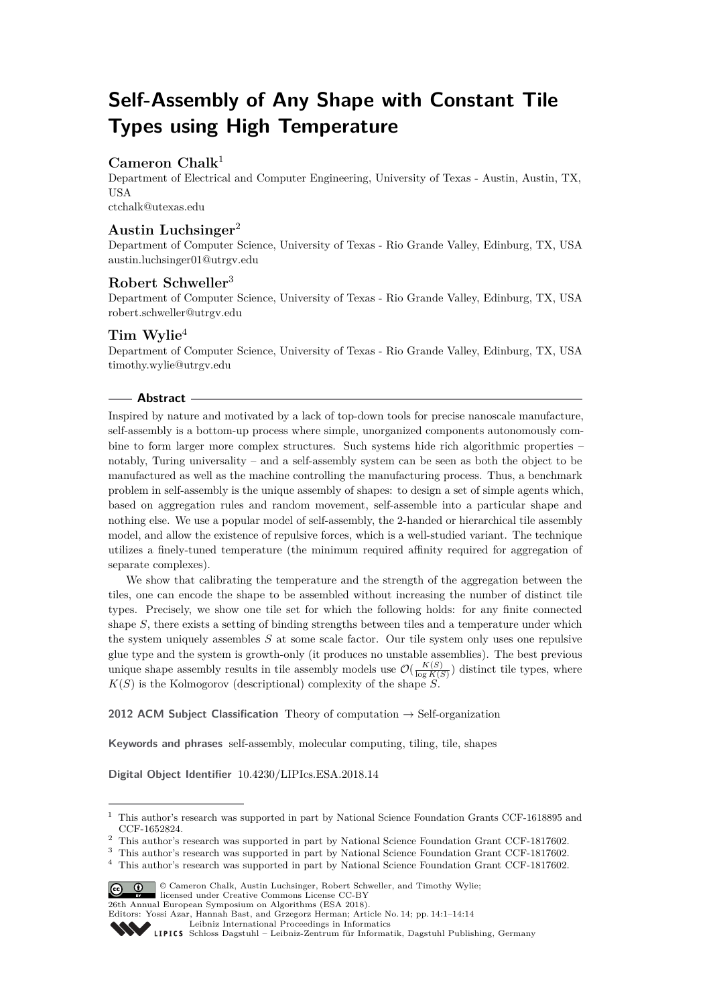# **Self-Assembly of Any Shape with Constant Tile Types using High Temperature**

# **Cameron Chalk**<sup>1</sup>

Department of Electrical and Computer Engineering, University of Texas - Austin, Austin, TX, USA [ctchalk@utexas.edu](mailto:ctchalk@utexas.edu)

## **Austin Luchsinger**<sup>2</sup>

Department of Computer Science, University of Texas - Rio Grande Valley, Edinburg, TX, USA [austin.luchsinger01@utrgv.edu](mailto:austin.luchsinger01@utrgv.edu)

# **Robert Schweller**<sup>3</sup>

Department of Computer Science, University of Texas - Rio Grande Valley, Edinburg, TX, USA [robert.schweller@utrgv.edu](mailto:robert.schweller@utrgv.edu)

## **Tim Wylie**<sup>4</sup>

Department of Computer Science, University of Texas - Rio Grande Valley, Edinburg, TX, USA [timothy.wylie@utrgv.edu](mailto:timothy.wylie@utrgv.edu)

## **Abstract**

Inspired by nature and motivated by a lack of top-down tools for precise nanoscale manufacture, self-assembly is a bottom-up process where simple, unorganized components autonomously combine to form larger more complex structures. Such systems hide rich algorithmic properties – notably, Turing universality – and a self-assembly system can be seen as both the object to be manufactured as well as the machine controlling the manufacturing process. Thus, a benchmark problem in self-assembly is the unique assembly of shapes: to design a set of simple agents which, based on aggregation rules and random movement, self-assemble into a particular shape and nothing else. We use a popular model of self-assembly, the 2-handed or hierarchical tile assembly model, and allow the existence of repulsive forces, which is a well-studied variant. The technique utilizes a finely-tuned temperature (the minimum required affinity required for aggregation of separate complexes).

We show that calibrating the temperature and the strength of the aggregation between the tiles, one can encode the shape to be assembled without increasing the number of distinct tile types. Precisely, we show one tile set for which the following holds: for any finite connected shape *S*, there exists a setting of binding strengths between tiles and a temperature under which the system uniquely assembles *S* at some scale factor. Our tile system only uses one repulsive glue type and the system is growth-only (it produces no unstable assemblies). The best previous unique shape assembly results in tile assembly models use  $\mathcal{O}(\frac{K(S)}{\log K(S)})$  distinct tile types, where  $K(S)$  is the Kolmogorov (descriptional) complexity of the shape  $S$ .

**2012 ACM Subject Classification** Theory of computation → Self-organization

**Keywords and phrases** self-assembly, molecular computing, tiling, tile, shapes

**Digital Object Identifier** [10.4230/LIPIcs.ESA.2018.14](http://dx.doi.org/10.4230/LIPIcs.ESA.2018.14)

<sup>4</sup> This author's research was supported in part by National Science Foundation Grant CCF-1817602.



<sup>©</sup> Cameron Chalk, Austin Luchsinger, Robert Schweller, and Timothy Wylie; licensed under Creative Commons License CC-BY

26th Annual European Symposium on Algorithms (ESA 2018).

<sup>1</sup> This author's research was supported in part by National Science Foundation Grants CCF-1618895 and CCF-1652824.

 $^2\,$  This author's research was supported in part by National Science Foundation Grant CCF-1817602.

<sup>3</sup> This author's research was supported in part by National Science Foundation Grant CCF-1817602.

Editors: Yossi Azar, Hannah Bast, and Grzegorz Herman; Article No. 14; pp. 14:1–14[:14](#page-13-0)

[Leibniz International Proceedings in Informatics](http://www.dagstuhl.de/lipics/)

Leibniz International Froceedings in miormatics<br>
LIPICS [Schloss Dagstuhl – Leibniz-Zentrum für Informatik, Dagstuhl Publishing, Germany](http://www.dagstuhl.de)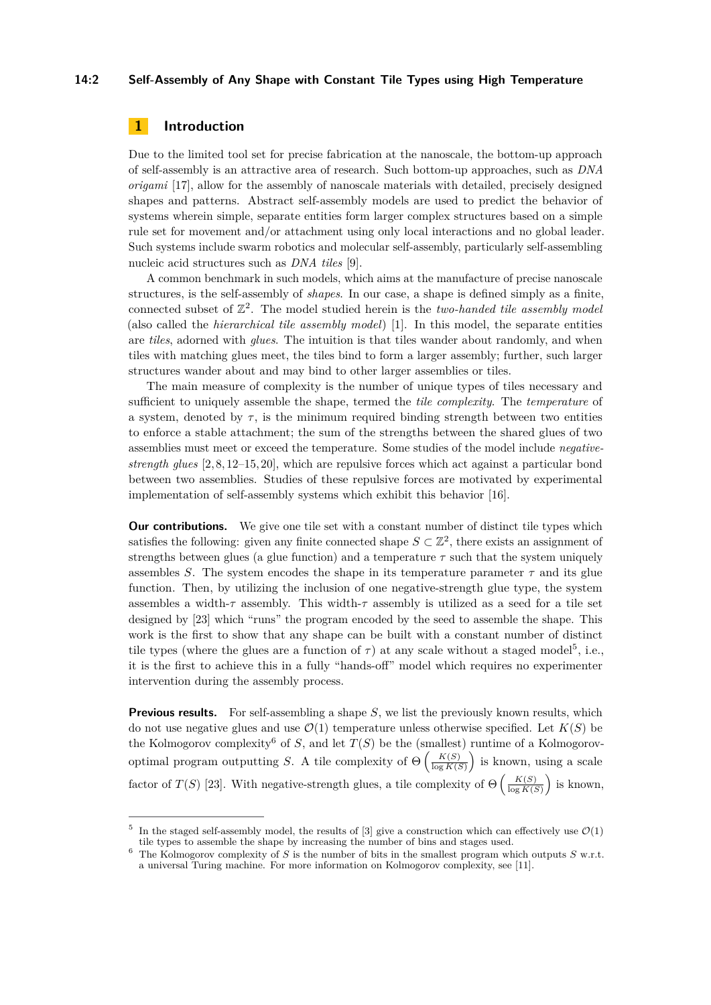#### **14:2 Self-Assembly of Any Shape with Constant Tile Types using High Temperature**

# **1 Introduction**

Due to the limited tool set for precise fabrication at the nanoscale, the bottom-up approach of self-assembly is an attractive area of research. Such bottom-up approaches, such as *DNA origami* [\[17\]](#page-13-1), allow for the assembly of nanoscale materials with detailed, precisely designed shapes and patterns. Abstract self-assembly models are used to predict the behavior of systems wherein simple, separate entities form larger complex structures based on a simple rule set for movement and/or attachment using only local interactions and no global leader. Such systems include swarm robotics and molecular self-assembly, particularly self-assembling nucleic acid structures such as *DNA tiles* [\[9\]](#page-12-0).

A common benchmark in such models, which aims at the manufacture of precise nanoscale structures, is the self-assembly of *shapes*. In our case, a shape is defined simply as a finite, connected subset of  $\mathbb{Z}^2$ . The model studied herein is the *two-handed tile assembly model* (also called the *hierarchical tile assembly model*) [\[1\]](#page-12-1). In this model, the separate entities are *tiles*, adorned with *glues*. The intuition is that tiles wander about randomly, and when tiles with matching glues meet, the tiles bind to form a larger assembly; further, such larger structures wander about and may bind to other larger assemblies or tiles.

The main measure of complexity is the number of unique types of tiles necessary and sufficient to uniquely assemble the shape, termed the *tile complexity*. The *temperature* of a system, denoted by  $\tau$ , is the minimum required binding strength between two entities to enforce a stable attachment; the sum of the strengths between the shared glues of two assemblies must meet or exceed the temperature. Some studies of the model include *negativestrength glues* [\[2,](#page-12-2) [8,](#page-12-3) [12–](#page-13-2)[15,](#page-13-3) [20\]](#page-13-4), which are repulsive forces which act against a particular bond between two assemblies. Studies of these repulsive forces are motivated by experimental implementation of self-assembly systems which exhibit this behavior [\[16\]](#page-13-5).

**Our contributions.** We give one tile set with a constant number of distinct tile types which satisfies the following: given any finite connected shape  $S \subset \mathbb{Z}^2$ , there exists an assignment of strengths between glues (a glue function) and a temperature  $\tau$  such that the system uniquely assembles *S*. The system encodes the shape in its temperature parameter  $\tau$  and its glue function. Then, by utilizing the inclusion of one negative-strength glue type, the system assembles a width-*τ* assembly. This width-*τ* assembly is utilized as a seed for a tile set designed by [\[23\]](#page-13-6) which "runs" the program encoded by the seed to assemble the shape. This work is the first to show that any shape can be built with a constant number of distinct tile types (where the glues are a function of  $\tau$ ) at any scale without a staged model<sup>[5](#page-1-0)</sup>, i.e., it is the first to achieve this in a fully "hands-off" model which requires no experimenter intervention during the assembly process.

**Previous results.** For self-assembling a shape *S*, we list the previously known results, which do not use negative glues and use  $\mathcal{O}(1)$  temperature unless otherwise specified. Let  $K(S)$  be the Kolmogorov complexity<sup>[6](#page-1-1)</sup> of *S*, and let  $T(S)$  be the (smallest) runtime of a Kolmogorovoptimal program outputting *S*. A tile complexity of  $\Theta\left(\frac{K(S)}{\log K(S)}\right)$  $\frac{K(S)}{\log K(S)}$  is known, using a scale factor of *T*(*S*) [\[23\]](#page-13-6). With negative-strength glues, a tile complexity of  $\Theta\left(\frac{K(S)}{\log K(S)}\right)$  $\frac{K(S)}{\log K(S)}$  is known,

<span id="page-1-0"></span><sup>5</sup> In the staged self-assembly model, the results of [\[3\]](#page-12-4) give a construction which can effectively use  $\mathcal{O}(1)$ tile types to assemble the shape by increasing the number of bins and stages used.

<span id="page-1-1"></span><sup>&</sup>lt;sup>6</sup> The Kolmogorov complexity of *S* is the number of bits in the smallest program which outputs *S* w.r.t. a universal Turing machine. For more information on Kolmogorov complexity, see [\[11\]](#page-13-7).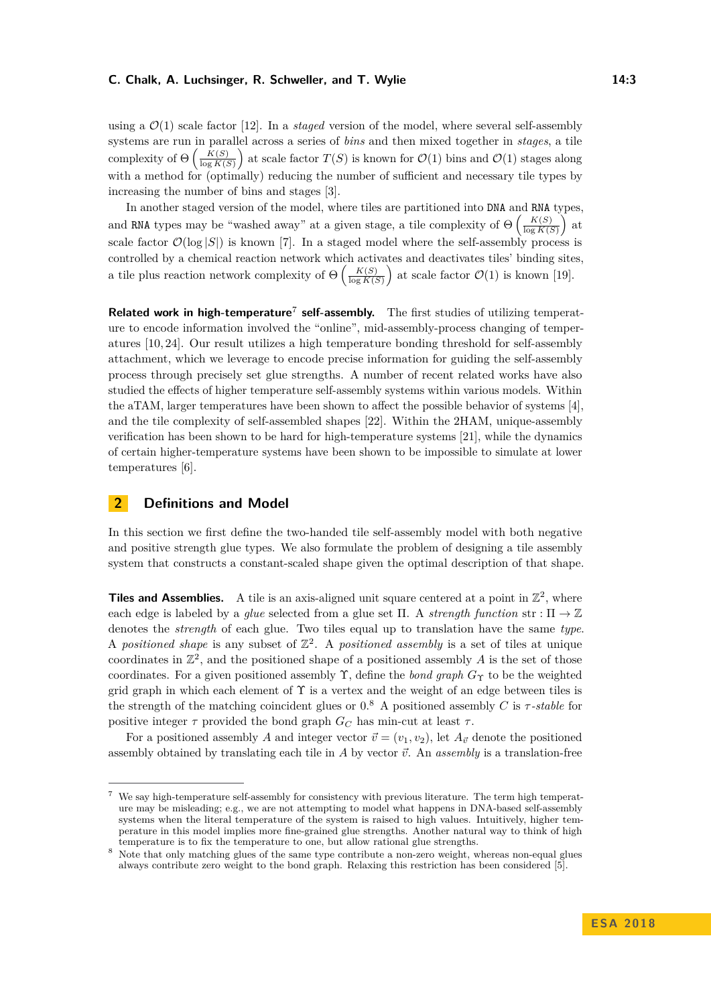#### **C. Chalk, A. Luchsinger, R. Schweller, and T. Wylie 14:3** 14:3

using a  $\mathcal{O}(1)$  scale factor [\[12\]](#page-13-2). In a *staged* version of the model, where several self-assembly systems are run in parallel across a series of *bins* and then mixed together in *stages*, a tile complexity of  $\Theta\left(\frac{K(S)}{\log K(S)}\right)$  $\frac{K(S)}{\log K(S)}$  at scale factor  $T(S)$  is known for  $\mathcal{O}(1)$  bins and  $\mathcal{O}(1)$  stages along with a method for (optimally) reducing the number of sufficient and necessary tile types by increasing the number of bins and stages [\[3\]](#page-12-4).

In another staged version of the model, where tiles are partitioned into DNA and RNA types, and RNA types may be "washed away" at a given stage, a tile complexity of  $\Theta\left(\frac{K(S)}{\log K(S)}\right)$  $\frac{K(S)}{\log K(S)}$  at scale factor  $\mathcal{O}(\log |S|)$  is known [\[7\]](#page-12-5). In a staged model where the self-assembly process is controlled by a chemical reaction network which activates and deactivates tiles' binding sites, a tile plus reaction network complexity of  $\Theta\left(\frac{K(S)}{\log K(S)}\right)$  $\frac{K(S)}{\log K(S)}$  at scale factor  $\mathcal{O}(1)$  is known [\[19\]](#page-13-8).

Related work in high-temperature<sup>[7](#page-2-0)</sup> self-assembly. The first studies of utilizing temperature to encode information involved the "online", mid-assembly-process changing of temperatures [\[10,](#page-12-6) [24\]](#page-13-9). Our result utilizes a high temperature bonding threshold for self-assembly attachment, which we leverage to encode precise information for guiding the self-assembly process through precisely set glue strengths. A number of recent related works have also studied the effects of higher temperature self-assembly systems within various models. Within the aTAM, larger temperatures have been shown to affect the possible behavior of systems [\[4\]](#page-12-7), and the tile complexity of self-assembled shapes [\[22\]](#page-13-10). Within the 2HAM, unique-assembly verification has been shown to be hard for high-temperature systems [\[21\]](#page-13-11), while the dynamics of certain higher-temperature systems have been shown to be impossible to simulate at lower temperatures [\[6\]](#page-12-8).

## **2 Definitions and Model**

In this section we first define the two-handed tile self-assembly model with both negative and positive strength glue types. We also formulate the problem of designing a tile assembly system that constructs a constant-scaled shape given the optimal description of that shape.

**Tiles and Assemblies.** A tile is an axis-aligned unit square centered at a point in  $\mathbb{Z}^2$ , where each edge is labeled by a *glue* selected from a glue set  $\Pi$ . A *strength function* str :  $\Pi \to \mathbb{Z}$ denotes the *strength* of each glue. Two tiles equal up to translation have the same *type*. A *positioned shape* is any subset of  $\mathbb{Z}^2$ . A *positioned assembly* is a set of tiles at unique coordinates in  $\mathbb{Z}^2$ , and the positioned shape of a positioned assembly *A* is the set of those coordinates. For a given positioned assembly  $\Upsilon$ , define the *bond graph*  $G_{\Upsilon}$  to be the weighted grid graph in which each element of  $\Upsilon$  is a vertex and the weight of an edge between tiles is the strength of the matching coincident glues or  $0.8$  $0.8$  A positioned assembly *C* is  $\tau$ -stable for positive integer  $\tau$  provided the bond graph  $G_C$  has min-cut at least  $\tau$ .

For a positioned assembly *A* and integer vector  $\vec{v} = (v_1, v_2)$ , let  $A_{\vec{v}}$  denote the positioned assembly obtained by translating each tile in  $\tilde{A}$  by vector  $\vec{v}$ . An *assembly* is a translation-free

<span id="page-2-0"></span><sup>7</sup> We say high-temperature self-assembly for consistency with previous literature. The term high temperature may be misleading; e.g., we are not attempting to model what happens in DNA-based self-assembly systems when the literal temperature of the system is raised to high values. Intuitively, higher temperature in this model implies more fine-grained glue strengths. Another natural way to think of high temperature is to fix the temperature to one, but allow rational glue strengths.

<span id="page-2-1"></span><sup>8</sup> Note that only matching glues of the same type contribute a non-zero weight, whereas non-equal glues always contribute zero weight to the bond graph. Relaxing this restriction has been considered [\[5\]](#page-12-9).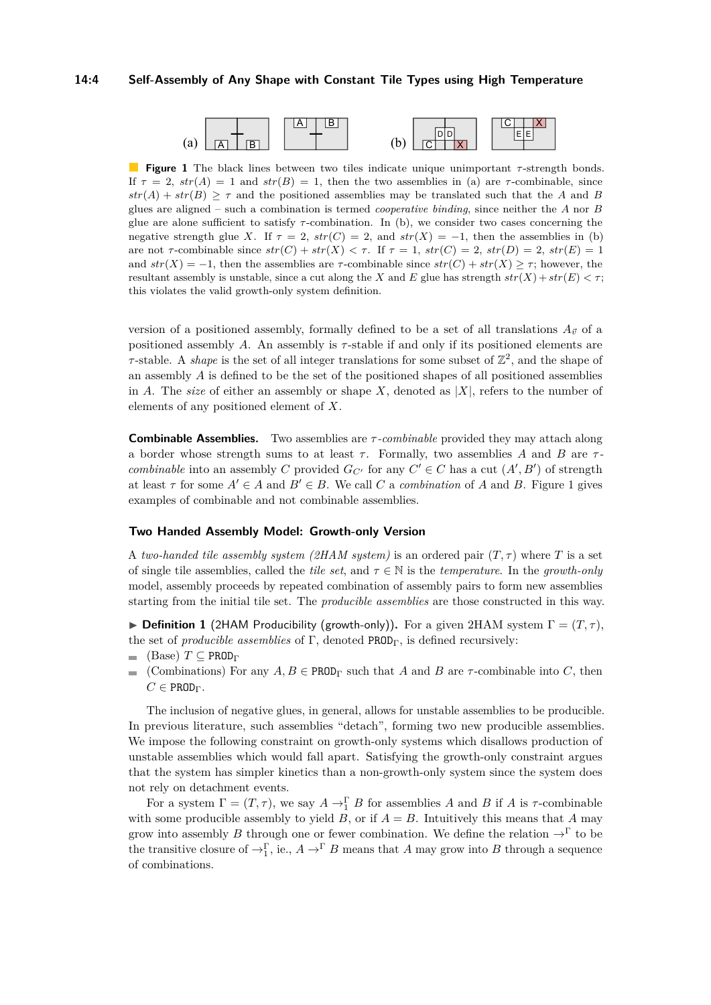#### **14:4 Self-Assembly of Any Shape with Constant Tile Types using High Temperature**

<span id="page-3-0"></span>

**Figure 1** The black lines between two tiles indicate unique unimportant *τ* -strength bonds. If  $\tau = 2$ ,  $str(A) = 1$  and  $str(B) = 1$ , then the two assemblies in (a) are  $\tau$ -combinable, since  $str(A) + str(B) \geq \tau$  and the positioned assemblies may be translated such that the *A* and *B* glues are aligned – such a combination is termed *cooperative binding*, since neither the *A* nor *B* glue are alone sufficient to satisfy *τ* -combination. In (b), we consider two cases concerning the negative strength glue *X*. If  $\tau = 2$ ,  $str(C) = 2$ , and  $str(X) = -1$ , then the assemblies in (b) are not  $\tau$ -combinable since  $str(C) + str(X) < \tau$ . If  $\tau = 1$ ,  $str(C) = 2$ ,  $str(D) = 2$ ,  $str(E) = 1$ and  $str(X) = -1$ , then the assemblies are  $\tau$ -combinable since  $str(C) + str(X) \geq \tau$ ; however, the resultant assembly is unstable, since a cut along the *X* and *E* glue has strength  $str(X) + str(E) < \tau$ ; this violates the valid growth-only system definition.

version of a positioned assembly, formally defined to be a set of all translations  $A_{\vec{v}}$  of a positioned assembly *A*. An assembly is *τ* -stable if and only if its positioned elements are *τ*-stable. A *shape* is the set of all integer translations for some subset of  $\mathbb{Z}^2$ , and the shape of an assembly *A* is defined to be the set of the positioned shapes of all positioned assemblies in *A*. The *size* of either an assembly or shape *X*, denoted as  $|X|$ , refers to the number of elements of any positioned element of *X*.

**Combinable Assemblies.** Two assemblies are *τ -combinable* provided they may attach along a border whose strength sums to at least  $\tau$ . Formally, two assemblies A and B are  $\tau$ *combinable* into an assembly *C* provided  $G_{C'}$  for any  $C' \in C$  has a cut  $(A', B')$  of strength at least  $\tau$  for some  $A' \in A$  and  $B' \in B$ . We call C a *combination* of A and B. Figure [1](#page-3-0) gives examples of combinable and not combinable assemblies.

#### **Two Handed Assembly Model: Growth-only Version**

A *two-handed tile assembly system (2HAM system)* is an ordered pair  $(T, \tau)$  where *T* is a set of single tile assemblies, called the *tile set*, and  $\tau \in \mathbb{N}$  is the *temperature*. In the *growth-only* model, assembly proceeds by repeated combination of assembly pairs to form new assemblies starting from the initial tile set. The *producible assemblies* are those constructed in this way.

**Definition 1** (2HAM Producibility (growth-only)). For a given 2HAM system  $\Gamma = (T, \tau)$ , the set of *producible assemblies* of  $\Gamma$ , denoted PROD<sub> $\Gamma$ </sub>, is defined recursively:

- $\blacksquare$  (Base) *T* ⊂ PROD<sub>Γ</sub>
- (Combinations) For any  $A, B \in \text{PROD}_{\Gamma}$  such that *A* and *B* are *τ*-combinable into *C*, then  $\equiv$  $C \in \texttt{PROD}_{\Gamma}$ .

The inclusion of negative glues, in general, allows for unstable assemblies to be producible. In previous literature, such assemblies "detach", forming two new producible assemblies. We impose the following constraint on growth-only systems which disallows production of unstable assemblies which would fall apart. Satisfying the growth-only constraint argues that the system has simpler kinetics than a non-growth-only system since the system does not rely on detachment events.

For a system  $\Gamma = (T, \tau)$ , we say  $A \to \Gamma B$  for assemblies *A* and *B* if *A* is  $\tau$ -combinable with some producible assembly to yield *B*, or if  $A = B$ . Intuitively this means that *A* may grow into assembly *B* through one or fewer combination. We define the relation  $\rightarrow^{\Gamma}$  to be the transitive closure of  $\rightarrow_1^{\Gamma}$ , ie.,  $A \rightarrow^{\Gamma} B$  means that *A* may grow into *B* through a sequence of combinations.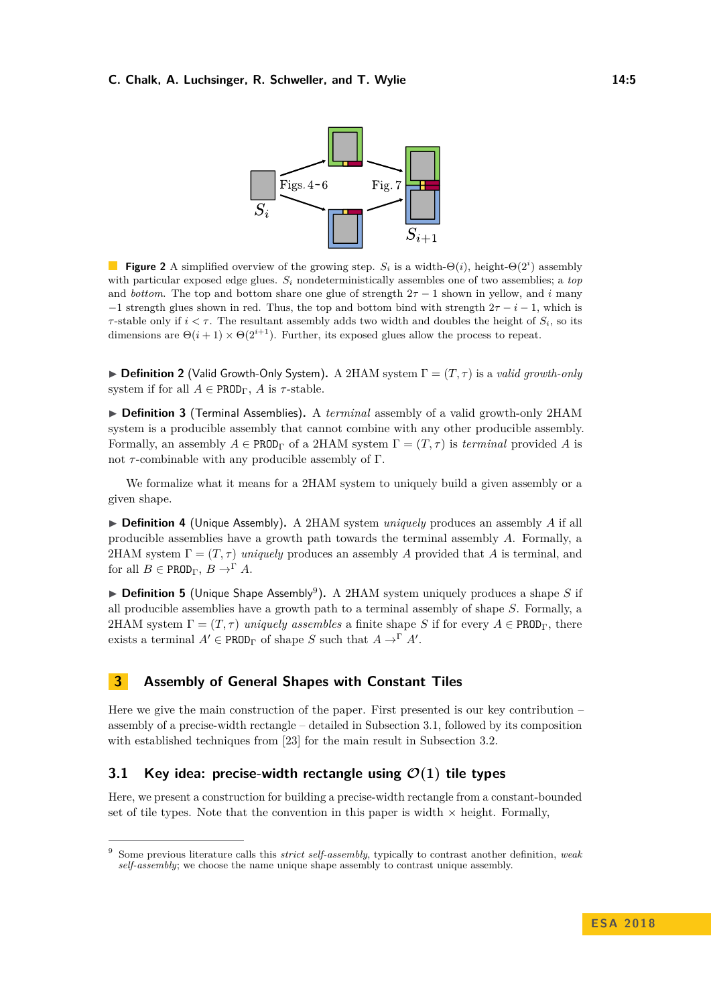#### <span id="page-4-2"></span>**C. Chalk, A. Luchsinger, R. Schweller, and T. Wylie 14:5** 14:5



**Figure 2** A simplified overview of the growing step.  $S_i$  is a width- $\Theta(i)$ , height- $\Theta(2^i)$  assembly with particular exposed edge glues.  $S_i$  nondeterministically assembles one of two assemblies; a *top* and *bottom*. The top and bottom share one glue of strength  $2\tau - 1$  shown in yellow, and *i* many  $-1$  strength glues shown in red. Thus, the top and bottom bind with strength  $2\tau - i - 1$ , which is *τ*-stable only if  $i < \tau$ . The resultant assembly adds two width and doubles the height of  $S_i$ , so its dimensions are  $\Theta(i+1) \times \Theta(2^{i+1})$ . Further, its exposed glues allow the process to repeat.

**Definition 2** (Valid Growth-Only System). A 2HAM system  $\Gamma = (T, \tau)$  is a *valid growth-only* system if for all  $A \in \text{PROD}_\Gamma$ , A is  $\tau$ -stable.

▶ **Definition 3** (Terminal Assemblies). A *terminal* assembly of a valid growth-only 2HAM system is a producible assembly that cannot combine with any other producible assembly. Formally, an assembly  $A \in \text{PROD}_\Gamma$  of a 2HAM system  $\Gamma = (T, \tau)$  is *terminal* provided A is not  $τ$ -combinable with any producible assembly of Γ.

We formalize what it means for a 2HAM system to uniquely build a given assembly or a given shape.

▶ **Definition 4** (Unique Assembly). A 2HAM system *uniquely* produces an assembly A if all producible assemblies have a growth path towards the terminal assembly *A*. Formally, a 2HAM system  $\Gamma = (T, \tau)$  *uniquely* produces an assembly *A* provided that *A* is terminal, and for all  $B \in \text{PROD}_\Gamma$ ,  $B \to^{\Gamma} A$ .

▶ **Definition 5** (Unique Shape Assembly<sup>[9](#page-4-0)</sup>). A 2HAM system uniquely produces a shape *S* if all producible assemblies have a growth path to a terminal assembly of shape *S*. Formally, a 2HAM system  $\Gamma = (T, \tau)$  *uniquely assembles* a finite shape *S* if for every  $A \in \text{PROD}_\Gamma$ , there exists a terminal  $A' \in \text{PROD}_{\Gamma}$  of shape *S* such that  $A \to^{\Gamma} A'$ .

## **3 Assembly of General Shapes with Constant Tiles**

Here we give the main construction of the paper. First presented is our key contribution – assembly of a precise-width rectangle – detailed in Subsection [3.1,](#page-4-1) followed by its composition with established techniques from [\[23\]](#page-13-6) for the main result in Subsection [3.2.](#page-10-0)

## <span id="page-4-1"></span>**3.1 Key idea: precise-width rectangle using**  $\mathcal{O}(1)$  **tile types**

Here, we present a construction for building a precise-width rectangle from a constant-bounded set of tile types. Note that the convention in this paper is width  $\times$  height. Formally,

<span id="page-4-0"></span><sup>9</sup> Some previous literature calls this *strict self-assembly*, typically to contrast another definition, *weak self-assembly*; we choose the name unique shape assembly to contrast unique assembly.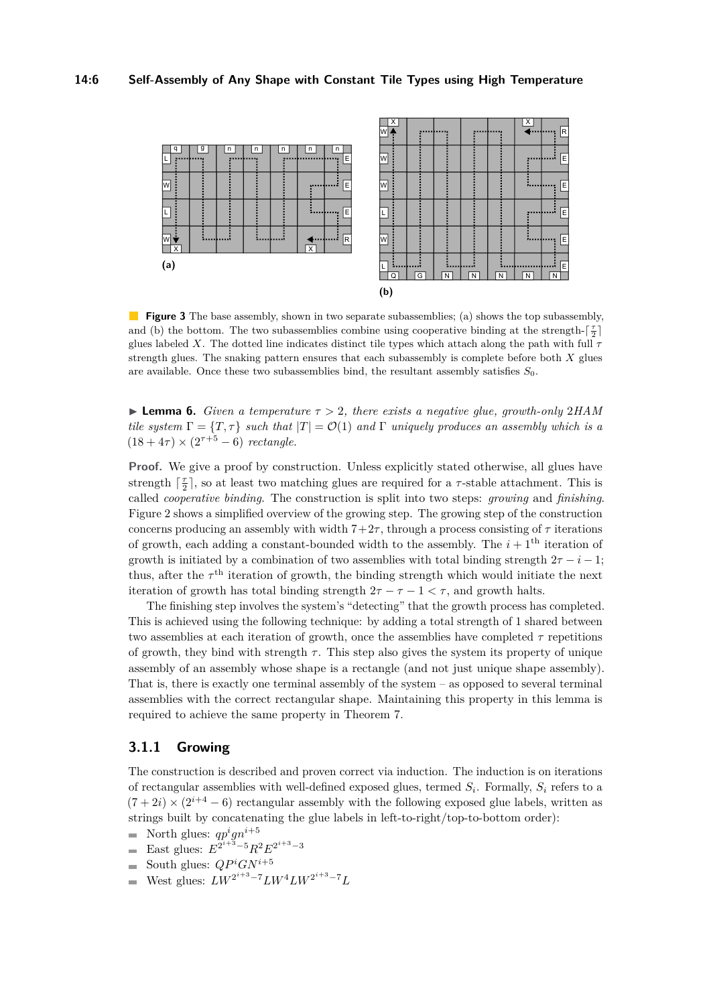#### **14:6 Self-Assembly of Any Shape with Constant Tile Types using High Temperature**

<span id="page-5-0"></span>

**Figure 3** The base assembly, shown in two separate subassemblies; (a) shows the top subassembly, and (b) the bottom. The two subassemblies combine using cooperative binding at the strength- $\lceil \frac{\tau}{2} \rceil$ glues labeled *X*. The dotted line indicates distinct tile types which attach along the path with full *τ* strength glues. The snaking pattern ensures that each subassembly is complete before both *X* glues are available. Once these two subassemblies bind, the resultant assembly satisfies *S*0.

<span id="page-5-1"></span>**Example 1. Lemma 6.** *Given a temperature*  $\tau > 2$ *, there exists a negative glue, growth-only* 2*HAM tile system*  $\Gamma = \{T, \tau\}$  *such that*  $|T| = O(1)$  *and*  $\Gamma$  *uniquely produces an assembly which is a*  $(18 + 4\tau) \times (2^{\tau+5} - 6)$  *rectangle.* 

**Proof.** We give a proof by construction. Unless explicitly stated otherwise, all glues have strength  $\lceil \frac{\tau}{2} \rceil$ , so at least two matching glues are required for a  $\tau$ -stable attachment. This is called *cooperative binding*. The construction is split into two steps: *growing* and *finishing*. Figure [2](#page-4-2) shows a simplified overview of the growing step. The growing step of the construction concerns producing an assembly with width  $7+2\tau$ , through a process consisting of  $\tau$  iterations of growth, each adding a constant-bounded width to the assembly. The  $i+1$ <sup>th</sup> iteration of growth is initiated by a combination of two assemblies with total binding strength  $2\tau - i - 1$ ; thus, after the  $\tau^{\text{th}}$  iteration of growth, the binding strength which would initiate the next iteration of growth has total binding strength  $2\tau - \tau - 1 < \tau$ , and growth halts.

The finishing step involves the system's "detecting" that the growth process has completed. This is achieved using the following technique: by adding a total strength of 1 shared between two assemblies at each iteration of growth, once the assemblies have completed *τ* repetitions of growth, they bind with strength  $\tau$ . This step also gives the system its property of unique assembly of an assembly whose shape is a rectangle (and not just unique shape assembly). That is, there is exactly one terminal assembly of the system – as opposed to several terminal assemblies with the correct rectangular shape. Maintaining this property in this lemma is required to achieve the same property in Theorem [7.](#page-10-1)

## **3.1.1 Growing**

The construction is described and proven correct via induction. The induction is on iterations of rectangular assemblies with well-defined exposed glues, termed *S<sup>i</sup>* . Formally, *S<sup>i</sup>* refers to a  $(7+2i) \times (2^{i+4}-6)$  rectangular assembly with the following exposed glue labels, written as strings built by concatenating the glue labels in left-to-right/top-to-bottom order):

- North glues:  $qp^i qn^{i+5}$  $\overline{\phantom{0}}$
- East glues:  $E^{2^{i+3}-5}R^2E^{2^{i+3}-3}$  $\equiv$
- South glues:  $QP^iGN^{i+5}$  $\overline{\phantom{0}}$
- $West$  glues:  $LW^{2^{i+3}-7}LW^{4}LW^{2^{i+3}-7}L$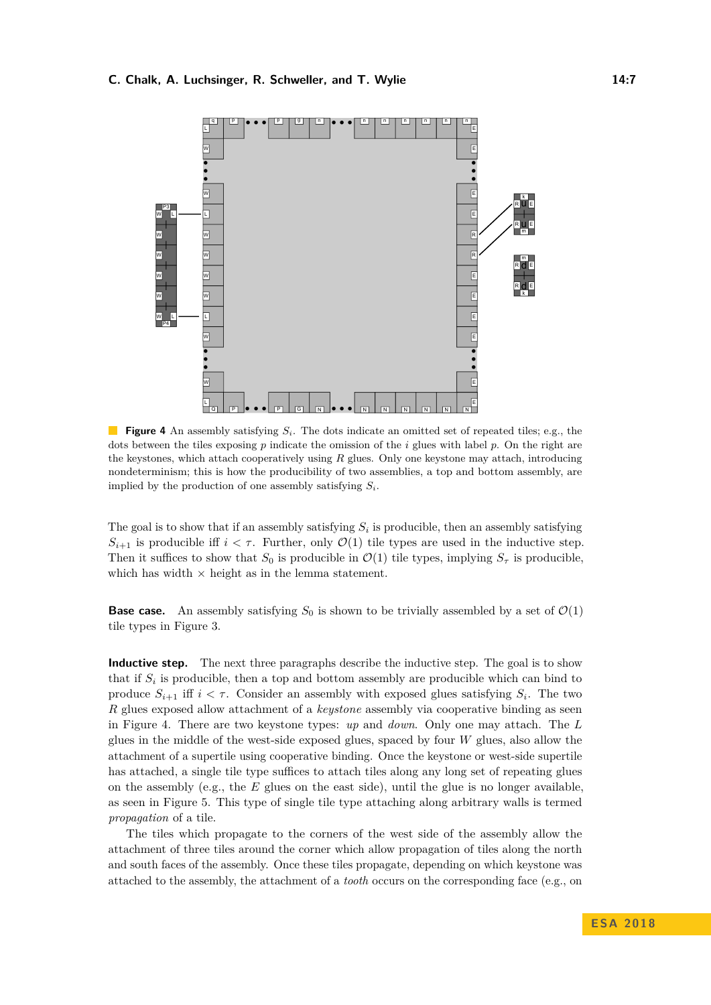#### <span id="page-6-0"></span>**C. Chalk, A. Luchsinger, R. Schweller, and T. Wylie 14:7** 14:7



**Figure 4** An assembly satisfying *Si*. The dots indicate an omitted set of repeated tiles; e.g., the dots between the tiles exposing *p* indicate the omission of the *i* glues with label *p*. On the right are the keystones, which attach cooperatively using *R* glues. Only one keystone may attach, introducing nondeterminism; this is how the producibility of two assemblies, a top and bottom assembly, are implied by the production of one assembly satisfying *Si*.

The goal is to show that if an assembly satisfying  $S_i$  is producible, then an assembly satisfying  $S_{i+1}$  is producible iff  $i < \tau$ . Further, only  $\mathcal{O}(1)$  tile types are used in the inductive step. Then it suffices to show that  $S_0$  is producible in  $\mathcal{O}(1)$  tile types, implying  $S_\tau$  is producible, which has width  $\times$  height as in the lemma statement.

**Base case.** An assembly satisfying  $S_0$  is shown to be trivially assembled by a set of  $\mathcal{O}(1)$ tile types in Figure [3.](#page-5-0)

**Inductive step.** The next three paragraphs describe the inductive step. The goal is to show that if  $S_i$  is producible, then a top and bottom assembly are producible which can bind to produce  $S_{i+1}$  iff  $i < \tau$ . Consider an assembly with exposed glues satisfying  $S_i$ . The two *R* glues exposed allow attachment of a *keystone* assembly via cooperative binding as seen in Figure [4.](#page-6-0) There are two keystone types: *up* and *down*. Only one may attach. The *L* glues in the middle of the west-side exposed glues, spaced by four *W* glues, also allow the attachment of a supertile using cooperative binding. Once the keystone or west-side supertile has attached, a single tile type suffices to attach tiles along any long set of repeating glues on the assembly (e.g., the *E* glues on the east side), until the glue is no longer available, as seen in Figure [5.](#page-7-0) This type of single tile type attaching along arbitrary walls is termed *propagation* of a tile.

The tiles which propagate to the corners of the west side of the assembly allow the attachment of three tiles around the corner which allow propagation of tiles along the north and south faces of the assembly. Once these tiles propagate, depending on which keystone was attached to the assembly, the attachment of a *tooth* occurs on the corresponding face (e.g., on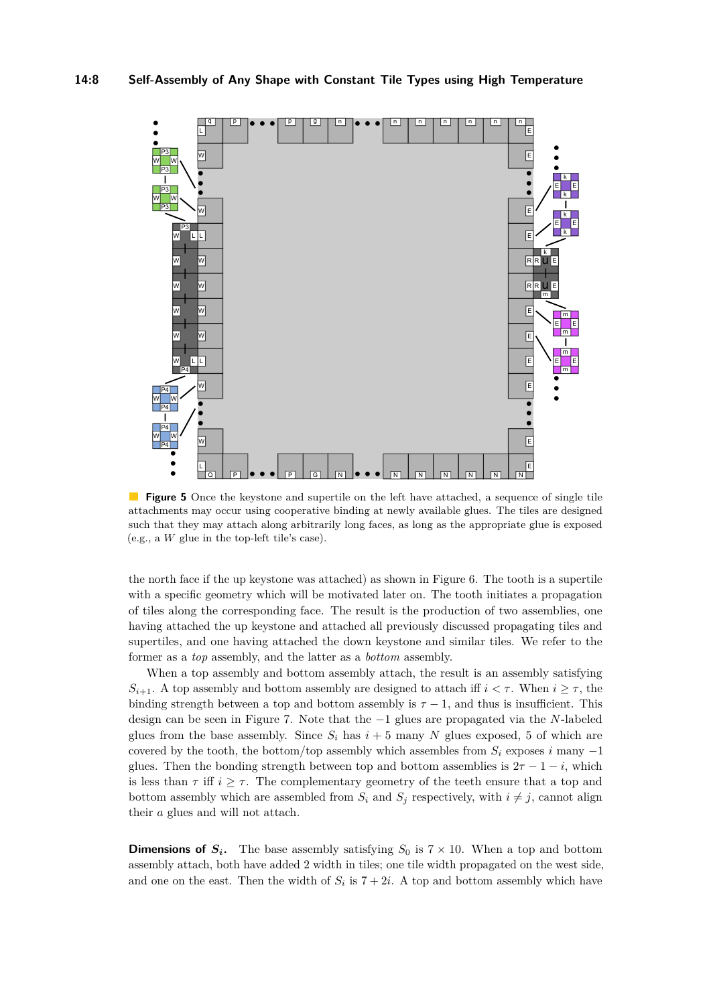<span id="page-7-0"></span>

 $\mathcal{L}^{\mathcal{A}}$ **Figure 5** Once the keystone and supertile on the left have attached, a sequence of single tile attachments may occur using cooperative binding at newly available glues. The tiles are designed such that they may attach along arbitrarily long faces, as long as the appropriate glue is exposed (e.g., a *W* glue in the top-left tile's case).

the north face if the up keystone was attached) as shown in Figure [6.](#page-8-0) The tooth is a supertile with a specific geometry which will be motivated later on. The tooth initiates a propagation of tiles along the corresponding face. The result is the production of two assemblies, one having attached the up keystone and attached all previously discussed propagating tiles and supertiles, and one having attached the down keystone and similar tiles. We refer to the former as a *top* assembly, and the latter as a *bottom* assembly.

When a top assembly and bottom assembly attach, the result is an assembly satisfying  $S_{i+1}$ . A top assembly and bottom assembly are designed to attach iff  $i < \tau$ . When  $i \geq \tau$ , the binding strength between a top and bottom assembly is  $\tau - 1$ , and thus is insufficient. This design can be seen in Figure [7.](#page-9-0) Note that the −1 glues are propagated via the *N*-labeled glues from the base assembly. Since  $S_i$  has  $i + 5$  many N glues exposed, 5 of which are covered by the tooth, the bottom/top assembly which assembles from  $S_i$  exposes *i* many  $-1$ glues. Then the bonding strength between top and bottom assemblies is  $2\tau - 1 - i$ , which is less than  $\tau$  iff  $i \geq \tau$ . The complementary geometry of the teeth ensure that a top and bottom assembly which are assembled from  $S_i$  and  $S_j$  respectively, with  $i \neq j$ , cannot align their *a* glues and will not attach.

**Dimensions of**  $S_i$ **.** The base assembly satisfying  $S_0$  is  $7 \times 10$ . When a top and bottom assembly attach, both have added 2 width in tiles; one tile width propagated on the west side, and one on the east. Then the width of  $S_i$  is  $7 + 2i$ . A top and bottom assembly which have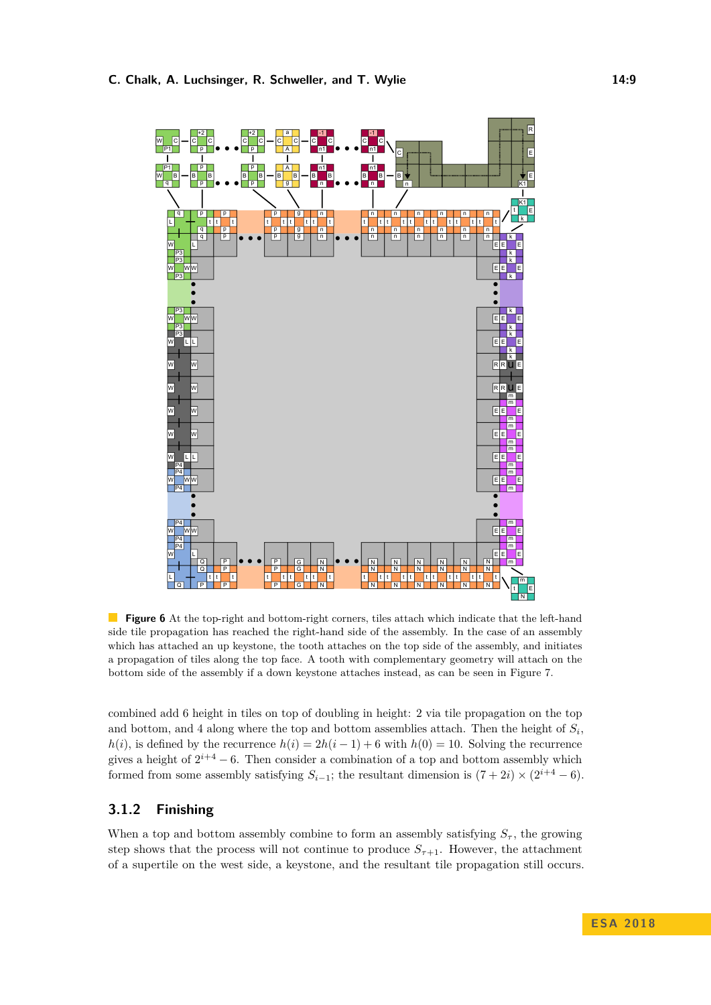<span id="page-8-0"></span>

**Figure 6** At the top-right and bottom-right corners, tiles attach which indicate that the left-hand side tile propagation has reached the right-hand side of the assembly. In the case of an assembly which has attached an up keystone, the tooth attaches on the top side of the assembly, and initiates a propagation of tiles along the top face. A tooth with complementary geometry will attach on the bottom side of the assembly if a down keystone attaches instead, as can be seen in Figure [7.](#page-9-0)

combined add 6 height in tiles on top of doubling in height: 2 via tile propagation on the top and bottom, and 4 along where the top and bottom assemblies attach. Then the height of  $S_i$ , *h*(*i*), is defined by the recurrence  $h(i) = 2h(i - 1) + 6$  with  $h(0) = 10$ . Solving the recurrence gives a height of  $2^{i+4} - 6$ . Then consider a combination of a top and bottom assembly which formed from some assembly satisfying  $S_{i-1}$ ; the resultant dimension is  $(7+2i) \times (2^{i+4}-6)$ .

# **3.1.2 Finishing**

When a top and bottom assembly combine to form an assembly satisfying  $S_{\tau}$ , the growing step shows that the process will not continue to produce  $S_{\tau+1}$ . However, the attachment of a supertile on the west side, a keystone, and the resultant tile propagation still occurs.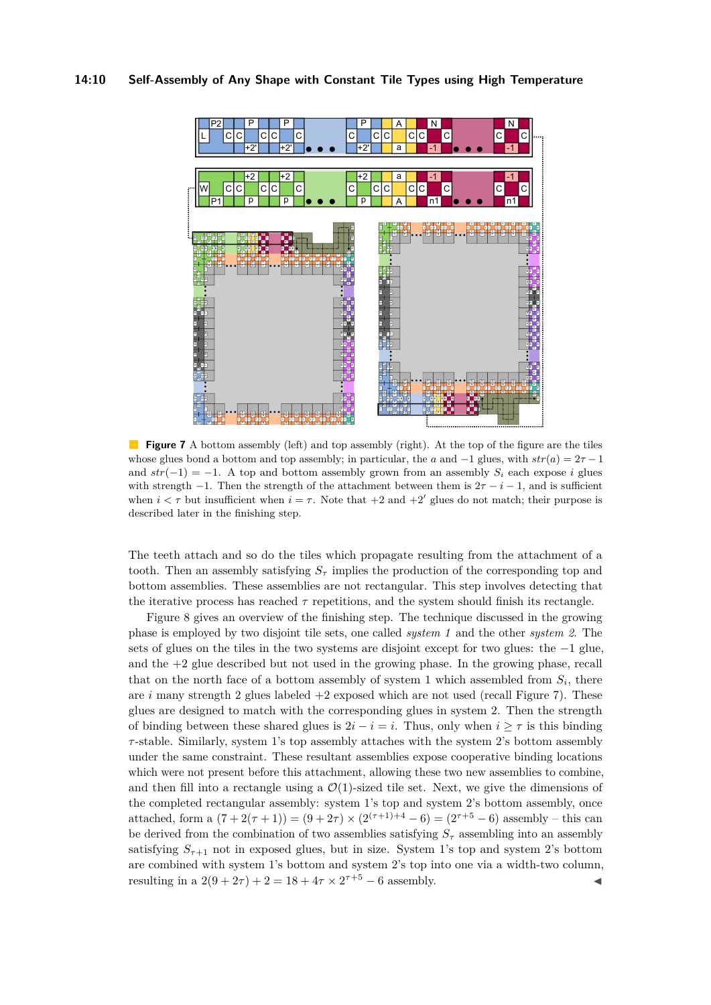## **14:10 Self-Assembly of Any Shape with Constant Tile Types using High Temperature**

<span id="page-9-0"></span>

**Figure 7** A bottom assembly (left) and top assembly (right). At the top of the figure are the tiles whose glues bond a bottom and top assembly; in particular, the *a* and  $-1$  glues, with  $str(a) = 2\tau - 1$ and  $str(-1) = -1$ . A top and bottom assembly grown from an assembly  $S_i$  each expose *i* glues with strength  $-1$ . Then the strength of the attachment between them is  $2\tau - i - 1$ , and is sufficient when  $i < \tau$  but insufficient when  $i = \tau$ . Note that  $+2$  and  $+2'$  glues do not match; their purpose is described later in the finishing step.

The teeth attach and so do the tiles which propagate resulting from the attachment of a tooth. Then an assembly satisfying  $S<sub>\tau</sub>$  implies the production of the corresponding top and bottom assemblies. These assemblies are not rectangular. This step involves detecting that the iterative process has reached  $\tau$  repetitions, and the system should finish its rectangle.

Figure [8](#page-10-2) gives an overview of the finishing step. The technique discussed in the growing phase is employed by two disjoint tile sets, one called *system 1* and the other *system 2*. The sets of glues on the tiles in the two systems are disjoint except for two glues: the −1 glue, and the  $+2$  glue described but not used in the growing phase. In the growing phase, recall that on the north face of a bottom assembly of system 1 which assembled from  $S_i$ , there are *i* many strength 2 glues labeled +2 exposed which are not used (recall Figure [7\)](#page-9-0). These glues are designed to match with the corresponding glues in system 2. Then the strength of binding between these shared glues is  $2i - i = i$ . Thus, only when  $i > \tau$  is this binding *τ* -stable. Similarly, system 1's top assembly attaches with the system 2's bottom assembly under the same constraint. These resultant assemblies expose cooperative binding locations which were not present before this attachment, allowing these two new assemblies to combine, and then fill into a rectangle using a  $\mathcal{O}(1)$ -sized tile set. Next, we give the dimensions of the completed rectangular assembly: system 1's top and system 2's bottom assembly, once attached, form a  $(7 + 2(\tau + 1)) = (9 + 2\tau) \times (2^{(\tau+1)+4} - 6) = (2^{\tau+5} - 6)$  assembly – this can be derived from the combination of two assemblies satisfying  $S_{\tau}$  assembling into an assembly satisfying  $S_{\tau+1}$  not in exposed glues, but in size. System 1's top and system 2's bottom are combined with system 1's bottom and system 2's top into one via a width-two column, resulting in a  $2(9 + 2\tau) + 2 = 18 + 4\tau \times 2^{\tau+5} - 6$  assembly.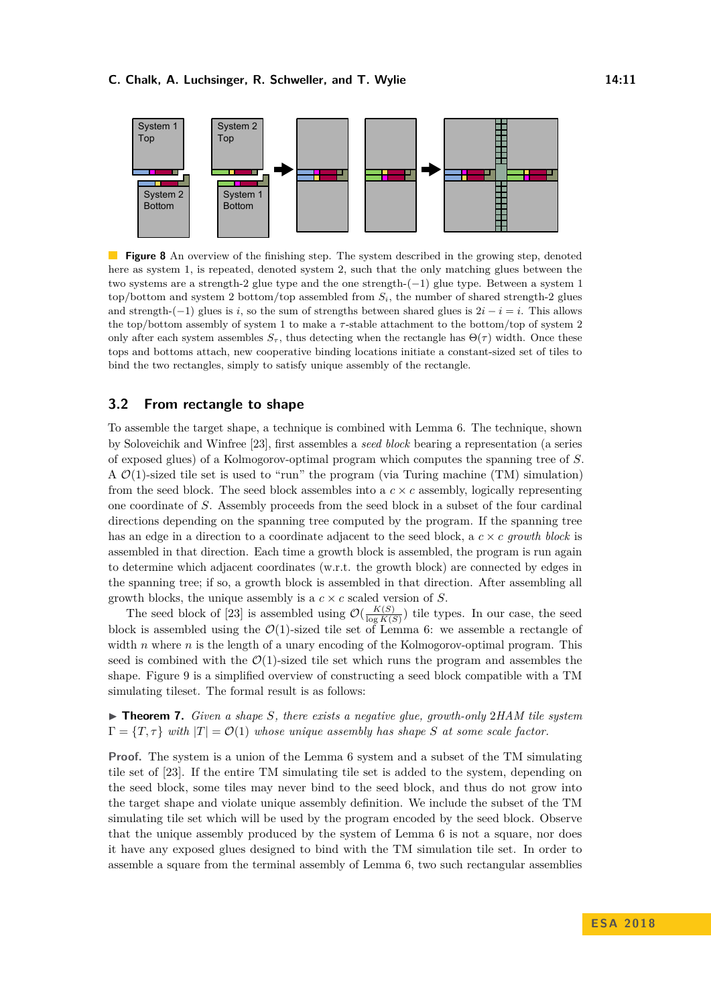<span id="page-10-2"></span>

**Figure 8** An overview of the finishing step. The system described in the growing step, denoted here as system 1, is repeated, denoted system 2, such that the only matching glues between the two systems are a strength-2 glue type and the one strength-(−1) glue type. Between a system 1 top/bottom and system 2 bottom/top assembled from  $S_i$ , the number of shared strength-2 glues and strength- $(-1)$  glues is *i*, so the sum of strengths between shared glues is  $2i - i = i$ . This allows the top/bottom assembly of system 1 to make a *τ* -stable attachment to the bottom/top of system 2 only after each system assembles  $S_{\tau}$ , thus detecting when the rectangle has  $\Theta(\tau)$  width. Once these tops and bottoms attach, new cooperative binding locations initiate a constant-sized set of tiles to bind the two rectangles, simply to satisfy unique assembly of the rectangle.

## <span id="page-10-0"></span>**3.2 From rectangle to shape**

To assemble the target shape, a technique is combined with Lemma [6.](#page-5-1) The technique, shown by Soloveichik and Winfree [\[23\]](#page-13-6), first assembles a *seed block* bearing a representation (a series of exposed glues) of a Kolmogorov-optimal program which computes the spanning tree of *S*. A  $\mathcal{O}(1)$ -sized tile set is used to "run" the program (via Turing machine (TM) simulation) from the seed block. The seed block assembles into a  $c \times c$  assembly, logically representing one coordinate of *S*. Assembly proceeds from the seed block in a subset of the four cardinal directions depending on the spanning tree computed by the program. If the spanning tree has an edge in a direction to a coordinate adjacent to the seed block, a *c* × *c growth block* is assembled in that direction. Each time a growth block is assembled, the program is run again to determine which adjacent coordinates (w.r.t. the growth block) are connected by edges in the spanning tree; if so, a growth block is assembled in that direction. After assembling all growth blocks, the unique assembly is a *c* × *c* scaled version of *S*.

The seed block of [\[23\]](#page-13-6) is assembled using  $\mathcal{O}(\frac{K(S)}{\log K(S)})$  $\frac{K(S)}{\log K(S)}$  tile types. In our case, the seed block is assembled using the  $\mathcal{O}(1)$ -sized tile set of Lemma [6:](#page-5-1) we assemble a rectangle of width *n* where *n* is the length of a unary encoding of the Kolmogorov-optimal program. This seed is combined with the  $\mathcal{O}(1)$ -sized tile set which runs the program and assembles the shape. Figure [9](#page-11-0) is a simplified overview of constructing a seed block compatible with a TM simulating tileset. The formal result is as follows:

<span id="page-10-1"></span>▶ **Theorem 7.** *Given a shape S*, *there exists a negative glue, growth-only* 2*HAM tile system*  $\Gamma = \{T, \tau\}$  *with*  $|T| = \mathcal{O}(1)$  *whose unique assembly has shape S at some scale factor.* 

**Proof.** The system is a union of the Lemma [6](#page-5-1) system and a subset of the TM simulating tile set of [\[23\]](#page-13-6). If the entire TM simulating tile set is added to the system, depending on the seed block, some tiles may never bind to the seed block, and thus do not grow into the target shape and violate unique assembly definition. We include the subset of the TM simulating tile set which will be used by the program encoded by the seed block. Observe that the unique assembly produced by the system of Lemma [6](#page-5-1) is not a square, nor does it have any exposed glues designed to bind with the TM simulation tile set. In order to assemble a square from the terminal assembly of Lemma [6,](#page-5-1) two such rectangular assemblies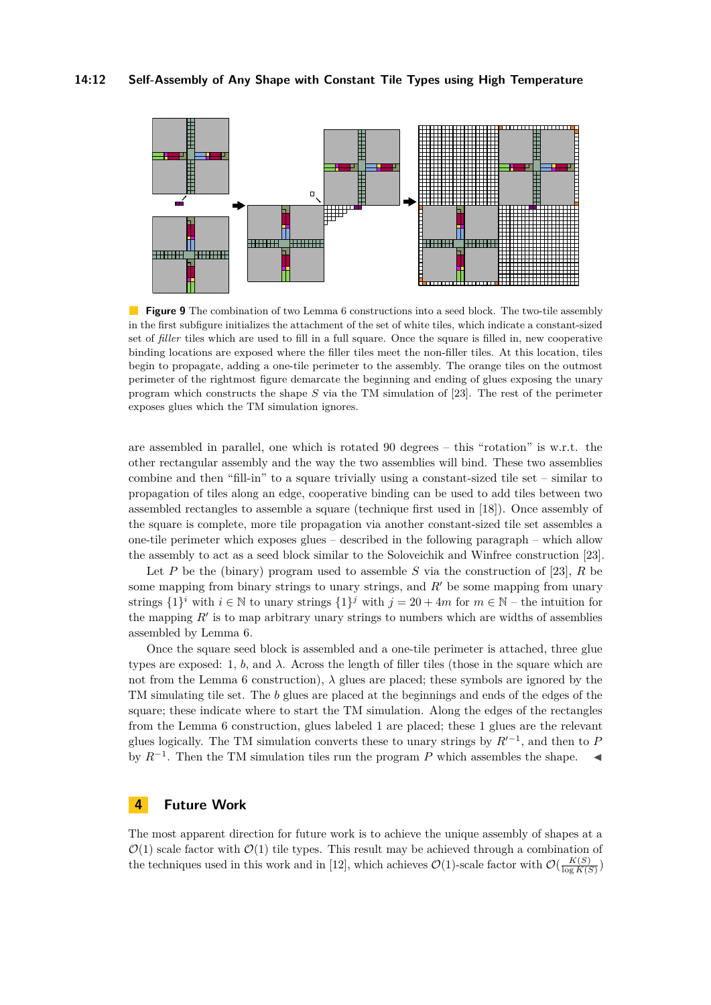<span id="page-11-0"></span>

**Figure 9** The combination of two Lemma [6](#page-5-1) constructions into a seed block. The two-tile assembly in the first subfigure initializes the attachment of the set of white tiles, which indicate a constant-sized set of *filler* tiles which are used to fill in a full square. Once the square is filled in, new cooperative binding locations are exposed where the filler tiles meet the non-filler tiles. At this location, tiles begin to propagate, adding a one-tile perimeter to the assembly. The orange tiles on the outmost perimeter of the rightmost figure demarcate the beginning and ending of glues exposing the unary program which constructs the shape *S* via the TM simulation of [\[23\]](#page-13-6). The rest of the perimeter exposes glues which the TM simulation ignores.

are assembled in parallel, one which is rotated 90 degrees – this "rotation" is w.r.t. the other rectangular assembly and the way the two assemblies will bind. These two assemblies combine and then "fill-in" to a square trivially using a constant-sized tile set – similar to propagation of tiles along an edge, cooperative binding can be used to add tiles between two assembled rectangles to assemble a square (technique first used in [\[18\]](#page-13-12)). Once assembly of the square is complete, more tile propagation via another constant-sized tile set assembles a one-tile perimeter which exposes glues – described in the following paragraph – which allow the assembly to act as a seed block similar to the Soloveichik and Winfree construction [\[23\]](#page-13-6).

Let *P* be the (binary) program used to assemble *S* via the construction of [\[23\]](#page-13-6), *R* be some mapping from binary strings to unary strings, and  $R'$  be some mapping from unary strings  $\{1\}^i$  with  $i \in \mathbb{N}$  to unary strings  $\{1\}^j$  with  $j = 20 + 4m$  for  $m \in \mathbb{N}$  – the intuition for the mapping  $R'$  is to map arbitrary unary strings to numbers which are widths of assemblies assembled by Lemma [6.](#page-5-1)

Once the square seed block is assembled and a one-tile perimeter is attached, three glue types are exposed: 1,  $b$ , and  $\lambda$ . Across the length of filler tiles (those in the square which are not from the Lemma [6](#page-5-1) construction),  $\lambda$  glues are placed; these symbols are ignored by the TM simulating tile set. The *b* glues are placed at the beginnings and ends of the edges of the square; these indicate where to start the TM simulation. Along the edges of the rectangles from the Lemma [6](#page-5-1) construction, glues labeled 1 are placed; these 1 glues are the relevant glues logically. The TM simulation converts these to unary strings by  $R^{0}$ , and then to *P* by  $R^{-1}$ . Then the TM simulation tiles run the program P which assembles the shape.  $\blacktriangleleft$ 

# **4 Future Work**

The most apparent direction for future work is to achieve the unique assembly of shapes at a  $\mathcal{O}(1)$  scale factor with  $\mathcal{O}(1)$  tile types. This result may be achieved through a combination of the techniques used in this work and in [\[12\]](#page-13-2), which achieves  $\mathcal{O}(1)$ -scale factor with  $\mathcal{O}(\frac{K(S)}{\log K(S)})$  $\frac{K(S)}{\log K(S)}$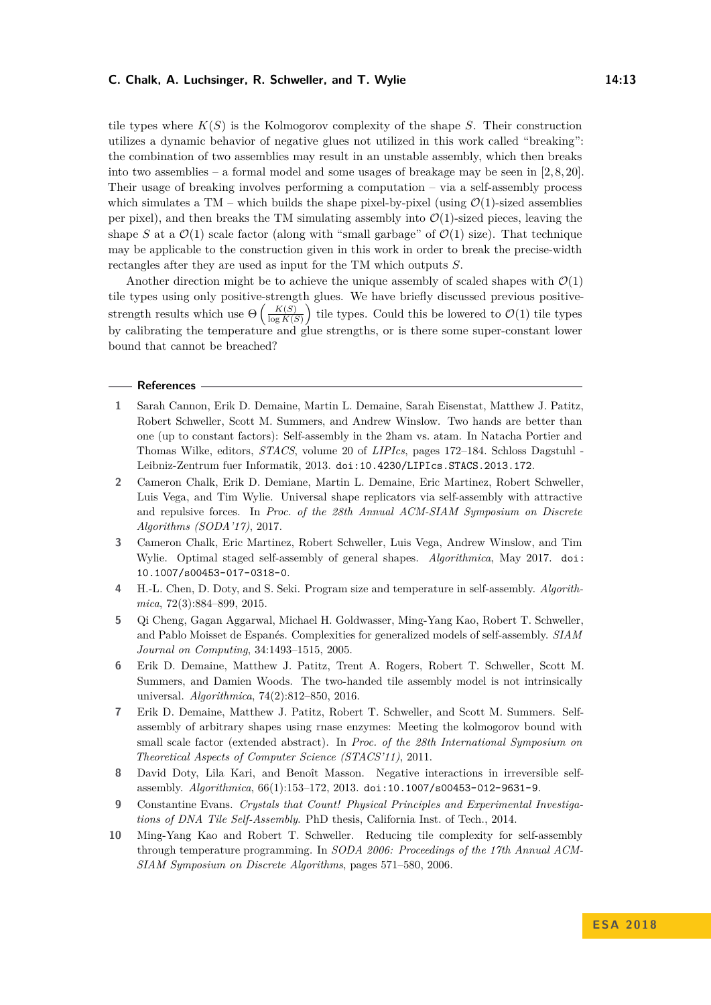#### **C. Chalk, A. Luchsinger, R. Schweller, and T. Wylie 14:13**

tile types where  $K(S)$  is the Kolmogorov complexity of the shape *S*. Their construction utilizes a dynamic behavior of negative glues not utilized in this work called "breaking": the combination of two assemblies may result in an unstable assembly, which then breaks into two assemblies – a formal model and some usages of breakage may be seen in  $[2, 8, 20]$  $[2, 8, 20]$  $[2, 8, 20]$ . Their usage of breaking involves performing a computation – via a self-assembly process which simulates a TM – which builds the shape pixel-by-pixel (using  $\mathcal{O}(1)$ -sized assemblies per pixel), and then breaks the TM simulating assembly into  $\mathcal{O}(1)$ -sized pieces, leaving the shape *S* at a  $\mathcal{O}(1)$  scale factor (along with "small garbage" of  $\mathcal{O}(1)$  size). That technique may be applicable to the construction given in this work in order to break the precise-width rectangles after they are used as input for the TM which outputs *S*.

Another direction might be to achieve the unique assembly of scaled shapes with  $\mathcal{O}(1)$ tile types using only positive-strength glues. We have briefly discussed previous positivestrength results which use  $\Theta\left(\frac{K(S)}{\log K(S)}\right)$  $\frac{K(S)}{\log K(S)}$  tile types. Could this be lowered to  $\mathcal{O}(1)$  tile types by calibrating the temperature and glue strengths, or is there some super-constant lower bound that cannot be breached?

## **References**

- <span id="page-12-1"></span>**1** Sarah Cannon, Erik D. Demaine, Martin L. Demaine, Sarah Eisenstat, Matthew J. Patitz, Robert Schweller, Scott M. Summers, and Andrew Winslow. Two hands are better than one (up to constant factors): Self-assembly in the 2ham vs. atam. In Natacha Portier and Thomas Wilke, editors, *STACS*, volume 20 of *LIPIcs*, pages 172–184. Schloss Dagstuhl - Leibniz-Zentrum fuer Informatik, 2013. [doi:10.4230/LIPIcs.STACS.2013.172](http://dx.doi.org/10.4230/LIPIcs.STACS.2013.172).
- <span id="page-12-2"></span>**2** Cameron Chalk, Erik D. Demiane, Martin L. Demaine, Eric Martinez, Robert Schweller, Luis Vega, and Tim Wylie. Universal shape replicators via self-assembly with attractive and repulsive forces. In *Proc. of the 28th Annual ACM-SIAM Symposium on Discrete Algorithms (SODA'17)*, 2017.
- <span id="page-12-4"></span>**3** Cameron Chalk, Eric Martinez, Robert Schweller, Luis Vega, Andrew Winslow, and Tim Wylie. Optimal staged self-assembly of general shapes. *Algorithmica*, May 2017. [doi:](http://dx.doi.org/10.1007/s00453-017-0318-0) [10.1007/s00453-017-0318-0](http://dx.doi.org/10.1007/s00453-017-0318-0).
- <span id="page-12-7"></span>**4** H.-L. Chen, D. Doty, and S. Seki. Program size and temperature in self-assembly. *Algorithmica*, 72(3):884–899, 2015.
- <span id="page-12-9"></span>**5** Qi Cheng, Gagan Aggarwal, Michael H. Goldwasser, Ming-Yang Kao, Robert T. Schweller, and Pablo Moisset de Espanés. Complexities for generalized models of self-assembly. *SIAM Journal on Computing*, 34:1493–1515, 2005.
- <span id="page-12-8"></span>**6** Erik D. Demaine, Matthew J. Patitz, Trent A. Rogers, Robert T. Schweller, Scott M. Summers, and Damien Woods. The two-handed tile assembly model is not intrinsically universal. *Algorithmica*, 74(2):812–850, 2016.
- <span id="page-12-5"></span>**7** Erik D. Demaine, Matthew J. Patitz, Robert T. Schweller, and Scott M. Summers. Selfassembly of arbitrary shapes using rnase enzymes: Meeting the kolmogorov bound with small scale factor (extended abstract). In *Proc. of the 28th International Symposium on Theoretical Aspects of Computer Science (STACS'11)*, 2011.
- <span id="page-12-3"></span>David Doty, Lila Kari, and Benoît Masson. Negative interactions in irreversible selfassembly. *Algorithmica*, 66(1):153–172, 2013. [doi:10.1007/s00453-012-9631-9](http://dx.doi.org/10.1007/s00453-012-9631-9).
- <span id="page-12-0"></span>**9** Constantine Evans. *Crystals that Count! Physical Principles and Experimental Investigations of DNA Tile Self-Assembly*. PhD thesis, California Inst. of Tech., 2014.
- <span id="page-12-6"></span>**10** Ming-Yang Kao and Robert T. Schweller. Reducing tile complexity for self-assembly through temperature programming. In *SODA 2006: Proceedings of the 17th Annual ACM-SIAM Symposium on Discrete Algorithms*, pages 571–580, 2006.